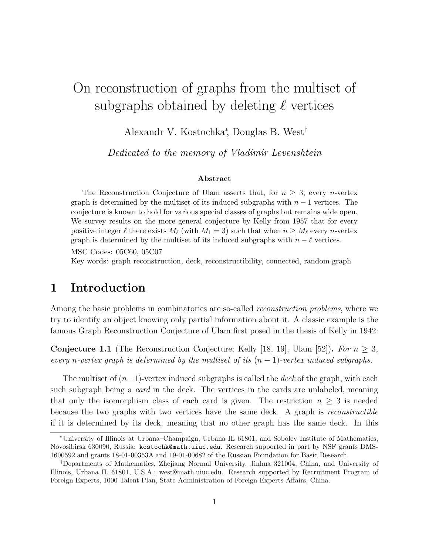# On reconstruction of graphs from the multiset of subgraphs obtained by deleting  $\ell$  vertices

Alexandr V. Kostochka<sup>∗</sup> , Douglas B. West†

Dedicated to the memory of Vladimir Levenshtein

#### Abstract

The Reconstruction Conjecture of Ulam asserts that, for  $n \geq 3$ , every *n*-vertex graph is determined by the multiset of its induced subgraphs with  $n-1$  vertices. The conjecture is known to hold for various special classes of graphs but remains wide open. We survey results on the more general conjecture by Kelly from 1957 that for every positive integer  $\ell$  there exists  $M_{\ell}$  (with  $M_1 = 3$ ) such that when  $n \geq M_{\ell}$  every *n*-vertex graph is determined by the multiset of its induced subgraphs with  $n - \ell$  vertices. MSC Codes: 05C60, 05C07 Key words: graph reconstruction, deck, reconstructibility, connected, random graph

## 1 Introduction

Among the basic problems in combinatorics are so-called reconstruction problems, where we try to identify an object knowing only partial information about it. A classic example is the famous Graph Reconstruction Conjecture of Ulam first posed in the thesis of Kelly in 1942:

**Conjecture 1.1** (The Reconstruction Conjecture; Kelly [18, 19], Ulam [52]). For  $n > 3$ , every n-vertex graph is determined by the multiset of its  $(n-1)$ -vertex induced subgraphs.

The multiset of  $(n-1)$ -vertex induced subgraphs is called the *deck* of the graph, with each such subgraph being a *card* in the deck. The vertices in the cards are unlabeled, meaning that only the isomorphism class of each card is given. The restriction  $n \geq 3$  is needed because the two graphs with two vertices have the same deck. A graph is reconstructible if it is determined by its deck, meaning that no other graph has the same deck. In this

<sup>∗</sup>University of Illinois at Urbana–Champaign, Urbana IL 61801, and Sobolev Institute of Mathematics, Novosibirsk 630090, Russia: kostochk@math.uiuc.edu. Research supported in part by NSF grants DMS-1600592 and grants 18-01-00353A and 19-01-00682 of the Russian Foundation for Basic Research.

<sup>†</sup>Departments of Mathematics, Zhejiang Normal University, Jinhua 321004, China, and University of Illinois, Urbana IL 61801, U.S.A.; west@math.uiuc.edu. Research supported by Recruitment Program of Foreign Experts, 1000 Talent Plan, State Administration of Foreign Experts Affairs, China.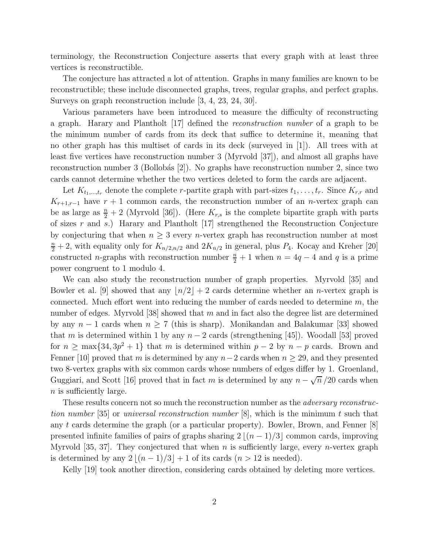terminology, the Reconstruction Conjecture asserts that every graph with at least three vertices is reconstructible.

The conjecture has attracted a lot of attention. Graphs in many families are known to be reconstructible; these include disconnected graphs, trees, regular graphs, and perfect graphs. Surveys on graph reconstruction include [3, 4, 23, 24, 30].

Various parameters have been introduced to measure the difficulty of reconstructing a graph. Harary and Plantholt [17] defined the reconstruction number of a graph to be the minimum number of cards from its deck that suffice to determine it, meaning that no other graph has this multiset of cards in its deck (surveyed in [1]). All trees with at least five vertices have reconstruction number 3 (Myrvold [37]), and almost all graphs have reconstruction number 3 (Bollobás  $[2]$ ). No graphs have reconstruction number 2, since two cards cannot determine whether the two vertices deleted to form the cards are adjacent.

Let  $K_{t_1,\dots,t_r}$  denote the complete r-partite graph with part-sizes  $t_1,\dots,t_r$ . Since  $K_{r,r}$  and  $K_{r+1,r-1}$  have  $r+1$  common cards, the reconstruction number of an *n*-vertex graph can be as large as  $\frac{n}{2} + 2$  (Myrvold [36]). (Here  $K_{r,s}$  is the complete bipartite graph with parts of sizes r and s.) Harary and Plantholt [17] strengthened the Reconstruction Conjecture by conjecturing that when  $n \geq 3$  every *n*-vertex graph has reconstruction number at most  $\frac{n}{2}+2$ , with equality only for  $K_{n/2,n/2}$  and  $2K_{n/2}$  in general, plus  $P_4$ . Kocay and Kreher [20] constructed n-graphs with reconstruction number  $\frac{n}{2} + 1$  when  $n = 4q - 4$  and q is a prime power congruent to 1 modulo 4.

We can also study the reconstruction number of graph properties. Myrvold [35] and Bowler et al. [9] showed that any  $\lfloor n/2 \rfloor + 2$  cards determine whether an *n*-vertex graph is connected. Much effort went into reducing the number of cards needed to determine  $m$ , the number of edges. Myrvold  $[38]$  showed that m and in fact also the degree list are determined by any  $n-1$  cards when  $n \geq 7$  (this is sharp). Monikandan and Balakumar [33] showed that m is determined within 1 by any  $n-2$  cards (strengthening [45]). Woodall [53] proved for  $n \ge \max\{34, 3p^2 + 1\}$  that m is determined within  $p-2$  by  $n-p$  cards. Brown and Fenner [10] proved that m is determined by any  $n-2$  cards when  $n \ge 29$ , and they presented two 8-vertex graphs with six common cards whose numbers of edges differ by 1. Groenland, Guggiari, and Scott [16] proved that in fact m is determined by any  $n - \sqrt{n}/20$  cards when n is sufficiently large.

These results concern not so much the reconstruction number as the *adversary reconstruc*tion number [35] or universal reconstruction number  $[8]$ , which is the minimum t such that any t cards determine the graph (or a particular property). Bowler, Brown, and Fenner [8] presented infinite families of pairs of graphs sharing  $2 \lfloor (n-1)/3 \rfloor$  common cards, improving Myrvold [35, 37]. They conjectured that when n is sufficiently large, every n-vertex graph is determined by any  $2|(n-1)/3|+1$  of its cards  $(n > 12$  is needed).

Kelly [19] took another direction, considering cards obtained by deleting more vertices.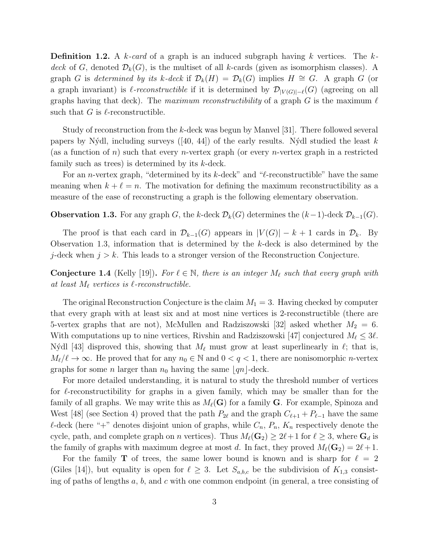**Definition 1.2.** A k-card of a graph is an induced subgraph having k vertices. The kdeck of G, denoted  $\mathcal{D}_k(G)$ , is the multiset of all k-cards (given as isomorphism classes). A graph G is determined by its k-deck if  $\mathcal{D}_k(H) = \mathcal{D}_k(G)$  implies  $H \cong G$ . A graph G (or a graph invariant) is  $\ell$ -reconstructible if it is determined by  $\mathcal{D}_{|V(G)|-\ell}(G)$  (agreeing on all graphs having that deck). The maximum reconstructibility of a graph G is the maximum  $\ell$ such that G is  $\ell$ -reconstructible.

Study of reconstruction from the k-deck was begun by Manvel [31]. There followed several papers by Nýdl, including surveys ([40, 44]) of the early results. Nýdl studied the least k (as a function of n) such that every *n*-vertex graph (or every *n*-vertex graph in a restricted family such as trees) is determined by its  $k$ -deck.

For an *n*-vertex graph, "determined by its k-deck" and " $\ell$ -reconstructible" have the same meaning when  $k + \ell = n$ . The motivation for defining the maximum reconstructibility as a measure of the ease of reconstructing a graph is the following elementary observation.

### **Observation 1.3.** For any graph G, the k-deck  $\mathcal{D}_k(G)$  determines the  $(k-1)$ -deck  $\mathcal{D}_{k-1}(G)$ .

The proof is that each card in  $\mathcal{D}_{k-1}(G)$  appears in  $|V(G)| - k + 1$  cards in  $\mathcal{D}_k$ . By Observation 1.3, information that is determined by the k-deck is also determined by the j-deck when  $j > k$ . This leads to a stronger version of the Reconstruction Conjecture.

**Conjecture 1.4** (Kelly [19]). For  $\ell \in \mathbb{N}$ , there is an integer  $M_{\ell}$  such that every graph with at least  $M_{\ell}$  vertices is  $\ell$ -reconstructible.

The original Reconstruction Conjecture is the claim  $M_1 = 3$ . Having checked by computer that every graph with at least six and at most nine vertices is 2-reconstructible (there are 5-vertex graphs that are not), McMullen and Radziszowski [32] asked whether  $M_2 = 6$ . With computations up to nine vertices, Rivshin and Radziszowski [47] conjectured  $M_{\ell} \leq 3\ell$ . Nýdl [43] disproved this, showing that  $M_{\ell}$  must grow at least superlinearly in  $\ell$ ; that is,  $M_{\ell}/\ell \to \infty$ . He proved that for any  $n_0 \in \mathbb{N}$  and  $0 < q < 1$ , there are nonisomorphic *n*-vertex graphs for some *n* larger than  $n_0$  having the same  $\lfloor qn \rfloor$ -deck.

For more detailed understanding, it is natural to study the threshold number of vertices for  $\ell$ -reconstructibility for graphs in a given family, which may be smaller than for the family of all graphs. We may write this as  $M_{\ell}(G)$  for a family G. For example, Spinoza and West [48] (see Section 4) proved that the path  $P_{2\ell}$  and the graph  $C_{\ell+1} + P_{\ell-1}$  have the same  $\ell$ -deck (here "+" denotes disjoint union of graphs, while  $C_n$ ,  $P_n$ ,  $K_n$  respectively denote the cycle, path, and complete graph on n vertices). Thus  $M_{\ell}(\mathbf{G}_2) \geq 2\ell + 1$  for  $\ell \geq 3$ , where  $\mathbf{G}_d$  is the family of graphs with maximum degree at most d. In fact, they proved  $M_{\ell}(\mathbf{G}_2) = 2\ell + 1$ .

For the family **T** of trees, the same lower bound is known and is sharp for  $\ell = 2$ (Giles [14]), but equality is open for  $\ell \geq 3$ . Let  $S_{a,b,c}$  be the subdivision of  $K_{1,3}$  consisting of paths of lengths  $a, b$ , and  $c$  with one common endpoint (in general, a tree consisting of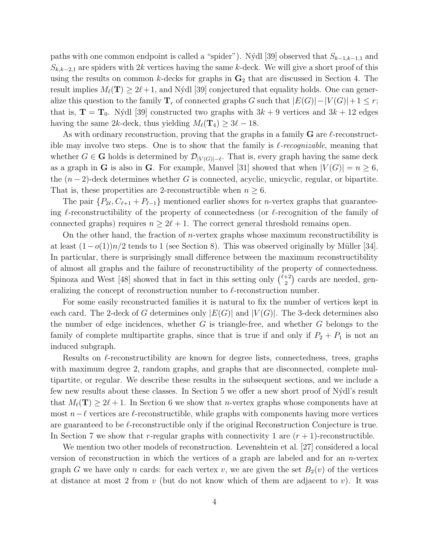paths with one common endpoint is called a "spider"). Nýdl [39] observed that  $S_{k-1,k-1,1}$  and  $S_{k,k-2,1}$  are spiders with 2k vertices having the same k-deck. We will give a short proof of this using the results on common k-decks for graphs in  $G_2$  that are discussed in Section 4. The result implies  $M_{\ell}(\mathbf{T}) \geq 2\ell+1$ , and Nýdl [39] conjectured that equality holds. One can generalize this question to the family  $\mathbf{T}_r$  of connected graphs G such that  $|E(G)|-|V(G)|+1 \leq r$ ; that is,  $\mathbf{T} = \mathbf{T}_0$ . Nýdl [39] constructed two graphs with  $3k + 9$  vertices and  $3k + 12$  edges having the same 2k-deck, thus yielding  $M_{\ell}(\mathbf{T}_4) \geq 3\ell - 18$ .

As with ordinary reconstruction, proving that the graphs in a family  $G$  are  $\ell$ -reconstructible may involve two steps. One is to show that the family is  $\ell$ -recognizable, meaning that whether  $G \in \mathbf{G}$  holds is determined by  $\mathcal{D}_{|V(G)|-\ell}$ . That is, every graph having the same deck as a graph in G is also in G. For example, Manvel [31] showed that when  $|V(G)| = n \geq 6$ , the  $(n-2)$ -deck determines whether G is connected, acyclic, unicyclic, regular, or bipartite. That is, these propertities are 2-reconstructible when  $n \geq 6$ .

The pair  $\{P_{2\ell}, C_{\ell+1} + P_{\ell-1}\}\$  mentioned earlier shows for *n*-vertex graphs that guaranteeing  $\ell$ -reconstructibility of the property of connectedness (or  $\ell$ -recognition of the family of connected graphs) requires  $n \geq 2\ell + 1$ . The correct general threshold remains open.

On the other hand, the fraction of *n*-vertex graphs whose maximum reconstructibility is at least  $(1-o(1))n/2$  tends to 1 (see Section 8). This was observed originally by Müller [34]. In particular, there is surprisingly small difference between the maximum reconstructibility of almost all graphs and the failure of reconstructibility of the property of connectedness. Spinoza and West [48] showed that in fact in this setting only  $\binom{\ell+2}{2}$  $\binom{+2}{2}$  cards are needed, generalizing the concept of reconstruction number to  $\ell$ -reconstruction number.

For some easily reconstructed families it is natural to fix the number of vertices kept in each card. The 2-deck of G determines only  $|E(G)|$  and  $|V(G)|$ . The 3-deck determines also the number of edge incidences, whether  $G$  is triangle-free, and whether  $G$  belongs to the family of complete multipartite graphs, since that is true if and only if  $P_2 + P_1$  is not an induced subgraph.

Results on  $\ell$ -reconstructibility are known for degree lists, connectedness, trees, graphs with maximum degree 2, random graphs, and graphs that are disconnected, complete multipartite, or regular. We describe these results in the subsequent sections, and we include a few new results about these classes. In Section 5 we offer a new short proof of N´ydl's result that  $M_{\ell}(T) \geq 2\ell + 1$ . In Section 6 we show that *n*-vertex graphs whose components have at most  $n-\ell$  vertices are  $\ell$ -reconstructible, while graphs with components having more vertices are guaranteed to be  $\ell$ -reconstructible only if the original Reconstruction Conjecture is true. In Section 7 we show that r-regular graphs with connectivity 1 are  $(r + 1)$ -reconstructible.

We mention two other models of reconstruction. Levenshtein et al. [27] considered a local version of reconstruction in which the vertices of a graph are labeled and for an  $n$ -vertex graph G we have only n cards: for each vertex v, we are given the set  $B_2(v)$  of the vertices at distance at most 2 from v (but do not know which of them are adjacent to v). It was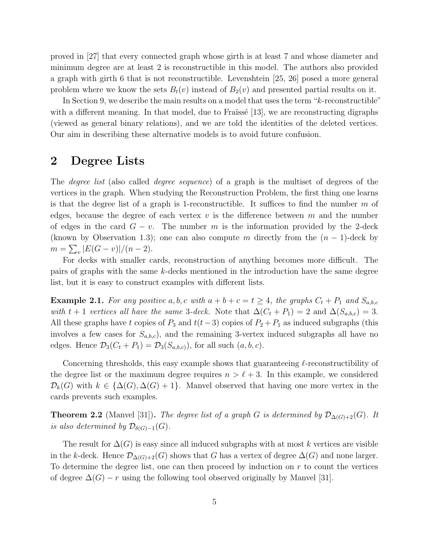proved in [27] that every connected graph whose girth is at least 7 and whose diameter and minimum degree are at least 2 is reconstructible in this model. The authors also provided a graph with girth 6 that is not reconstructible. Levenshtein [25, 26] posed a more general problem where we know the sets  $B_t(v)$  instead of  $B_2(v)$  and presented partial results on it.

In Section 9, we describe the main results on a model that uses the term "k-reconstructible" with a different meaning. In that model, due to Fraïssé [13], we are reconstructing digraphs (viewed as general binary relations), and we are told the identities of the deleted vertices. Our aim in describing these alternative models is to avoid future confusion.

## 2 Degree Lists

The degree list (also called degree sequence) of a graph is the multiset of degrees of the vertices in the graph. When studying the Reconstruction Problem, the first thing one learns is that the degree list of a graph is 1-reconstructible. It suffices to find the number  $m$  of edges, because the degree of each vertex  $v$  is the difference between  $m$  and the number of edges in the card  $G - v$ . The number m is the information provided by the 2-deck (known by Observation 1.3); one can also compute m directly from the  $(n - 1)$ -deck by  $m = \sum_{v} |E(G - v)|/(n - 2).$ 

For decks with smaller cards, reconstruction of anything becomes more difficult. The pairs of graphs with the same k-decks mentioned in the introduction have the same degree list, but it is easy to construct examples with different lists.

**Example 2.1.** For any positive a, b, c with  $a + b + c = t \ge 4$ , the graphs  $C_t + P_1$  and  $S_{a,b,c}$ with t + 1 vertices all have the same 3-deck. Note that  $\Delta(C_t + P_1) = 2$  and  $\Delta(S_{a,b,c}) = 3$ . All these graphs have t copies of  $P_3$  and  $t(t-3)$  copies of  $P_2 + P_1$  as induced subgraphs (this involves a few cases for  $S_{a,b,c}$ , and the remaining 3-vertex induced subgraphs all have no edges. Hence  $\mathcal{D}_3(C_t + P_1) = \mathcal{D}_3(S_{a,b,c})$ , for all such  $(a, b, c)$ .

Concerning thresholds, this easy example shows that guaranteeing  $\ell$ -reconstructibility of the degree list or the maximum degree requires  $n > \ell + 3$ . In this example, we considered  $\mathcal{D}_k(G)$  with  $k \in {\Delta(G), \Delta(G) + 1}$ . Manvel observed that having one more vertex in the cards prevents such examples.

**Theorem 2.2** (Manvel [31]). The degree list of a graph G is determined by  $\mathcal{D}_{\Delta(G)+2}(G)$ . It is also determined by  $\mathcal{D}_{\delta(G)-1}(G)$ .

The result for  $\Delta(G)$  is easy since all induced subgraphs with at most k vertices are visible in the k-deck. Hence  $\mathcal{D}_{\Delta(G)+2}(G)$  shows that G has a vertex of degree  $\Delta(G)$  and none larger. To determine the degree list, one can then proceed by induction on  $r$  to count the vertices of degree  $\Delta(G) - r$  using the following tool observed originally by Manvel [31].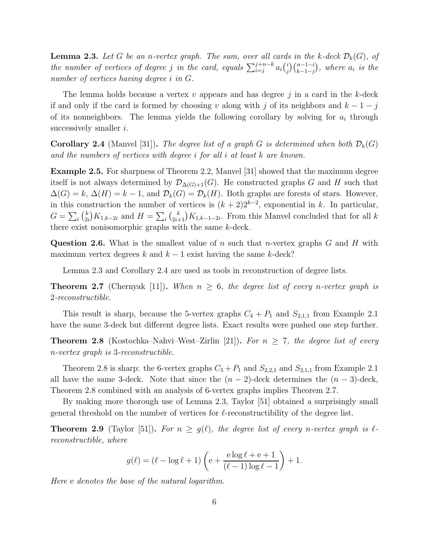**Lemma 2.3.** Let G be an n-vertex graph. The sum, over all cards in the k-deck  $\mathcal{D}_k(G)$ , of the number of vertices of degree j in the card, equals  $\sum_{i=j}^{j+n-k} a_i {i \choose j}$  $\binom{i}{j}\binom{n-1-i}{k-1-j}$ , where  $a_i$  is the number of vertices having degree i in G.

The lemma holds because a vertex  $v$  appears and has degree  $j$  in a card in the k-deck if and only if the card is formed by choosing v along with j of its neighbors and  $k-1-j$ of its nonneighbors. The lemma yields the following corollary by solving for  $a_i$  through successively smaller  $i$ .

**Corollary 2.4** (Manvel [31]). The degree list of a graph G is determined when both  $\mathcal{D}_k(G)$ and the numbers of vertices with degree i for all i at least k are known.

Example 2.5. For sharpness of Theorem 2.2, Manvel [31] showed that the maximum degree itself is not always determined by  $\mathcal{D}_{\Delta(G)+1}(G)$ . He constructed graphs G and H such that  $\Delta(G) = k$ ,  $\Delta(H) = k - 1$ , and  $\mathcal{D}_k(G) = \mathcal{D}_k(H)$ . Both graphs are forests of stars. However, in this construction the number of vertices is  $(k+2)2^{k-2}$ , exponential in k. In particular,  $G=\sum_i \binom{k}{2i}$  $\binom{k}{2i} K_{1,k-2i}$  and  $H = \sum_i \binom{k}{2i+1} K_{1,k-1-2i}$ . From this Manvel concluded that for all k there exist nonisomorphic graphs with the same k-deck.

**Question 2.6.** What is the smallest value of n such that n-vertex graphs  $G$  and  $H$  with maximum vertex degrees k and  $k - 1$  exist having the same k-deck?

Lemma 2.3 and Corollary 2.4 are used as tools in reconstruction of degree lists.

**Theorem 2.7** (Chernyak [11]). When  $n \geq 6$ , the degree list of every n-vertex graph is 2-reconstructible.

This result is sharp, because the 5-vertex graphs  $C_4 + P_1$  and  $S_{2,1,1}$  from Example 2.1 have the same 3-deck but different degree lists. Exact results were pushed one step further.

**Theorem 2.8** (Kostochka–Nahvi–West–Zirlin [21]). For  $n \geq 7$ , the degree list of every n-vertex graph is 3-reconstructible.

Theorem 2.8 is sharp: the 6-vertex graphs  $C_5 + P_1$  and  $S_{2,2,1}$  and  $S_{3,1,1}$  from Example 2.1 all have the same 3-deck. Note that since the  $(n-2)$ -deck determines the  $(n-3)$ -deck, Theorem 2.8 combined with an analysis of 6-vertex graphs implies Theorem 2.7.

By making more thorough use of Lemma 2.3, Taylor [51] obtained a surprisingly small general threshold on the number of vertices for  $\ell$ -reconstructibility of the degree list.

**Theorem 2.9** (Taylor [51]). For  $n \geq g(\ell)$ , the degree list of every n-vertex graph is  $\ell$ reconstructible, where

$$
g(\ell) = (\ell - \log \ell + 1) \left( e + \frac{e \log \ell + e + 1}{(\ell - 1) \log \ell - 1} \right) + 1.
$$

Here e denotes the base of the natural logarithm.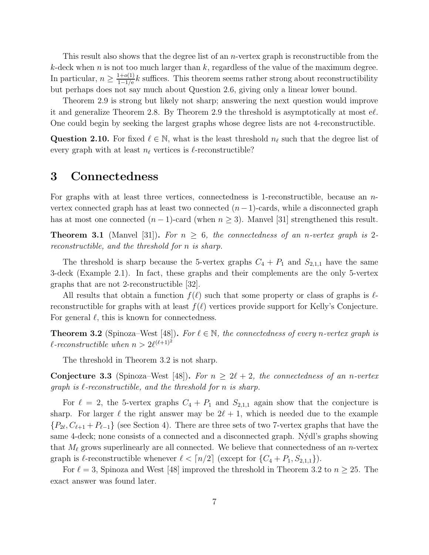This result also shows that the degree list of an n-vertex graph is reconstructible from the  $k$ -deck when n is not too much larger than k, regardless of the value of the maximum degree. In particular,  $n \geq \frac{1+o(1)}{1-1/e}$  $\frac{1+o(1)}{1-1/e}$  k suffices. This theorem seems rather strong about reconstructibility but perhaps does not say much about Question 2.6, giving only a linear lower bound.

Theorem 2.9 is strong but likely not sharp; answering the next question would improve it and generalize Theorem 2.8. By Theorem 2.9 the threshold is asymptotically at most  $\epsilon \ell$ . One could begin by seeking the largest graphs whose degree lists are not 4-reconstructible.

Question 2.10. For fixed  $\ell \in \mathbb{N}$ , what is the least threshold  $n_{\ell}$  such that the degree list of every graph with at least  $n_{\ell}$  vertices is  $\ell$ -reconstructible?

## 3 Connectedness

For graphs with at least three vertices, connectedness is 1-reconstructible, because an nvertex connected graph has at least two connected  $(n-1)$ -cards, while a disconnected graph has at most one connected  $(n-1)$ -card (when  $n \geq 3$ ). Manvel [31] strengthened this result.

**Theorem 3.1** (Manvel [31]). For  $n \geq 6$ , the connectedness of an n-vertex graph is 2reconstructible, and the threshold for n is sharp.

The threshold is sharp because the 5-vertex graphs  $C_4 + P_1$  and  $S_{2,1,1}$  have the same 3-deck (Example 2.1). In fact, these graphs and their complements are the only 5-vertex graphs that are not 2-reconstructible [32].

All results that obtain a function  $f(\ell)$  such that some property or class of graphs is  $\ell$ reconstructible for graphs with at least  $f(\ell)$  vertices provide support for Kelly's Conjecture. For general  $\ell$ , this is known for connectedness.

**Theorem 3.2** (Spinoza–West [48]). For  $\ell \in \mathbb{N}$ , the connectedness of every n-vertex graph is  $\ell$ -reconstructible when  $n > 2\ell^{(\ell+1)^2}$ 

The threshold in Theorem 3.2 is not sharp.

**Conjecture 3.3** (Spinoza–West [48]). For  $n \geq 2\ell + 2$ , the connectedness of an n-vertex graph is  $\ell$ -reconstructible, and the threshold for n is sharp.

For  $\ell = 2$ , the 5-vertex graphs  $C_4 + P_1$  and  $S_{2,1,1}$  again show that the conjecture is sharp. For larger  $\ell$  the right answer may be  $2\ell + 1$ , which is needed due to the example  ${P_{2\ell}, C_{\ell+1} + P_{\ell-1}}$  (see Section 4). There are three sets of two 7-vertex graphs that have the same 4-deck; none consists of a connected and a disconnected graph. Nýdl's graphs showing that  $M_{\ell}$  grows superlinearly are all connected. We believe that connectedness of an *n*-vertex graph is  $\ell$ -reconstructible whenever  $\ell < \lceil n/2 \rceil$  (except for  $\{C_4 + P_1, S_{2,1,1}\}\$ ).

For  $\ell = 3$ , Spinoza and West [48] improved the threshold in Theorem 3.2 to  $n \geq 25$ . The exact answer was found later.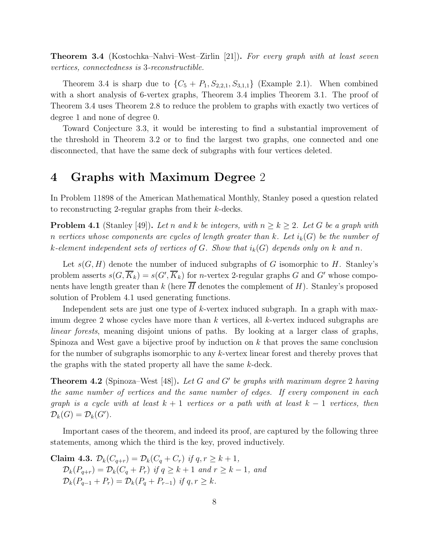**Theorem 3.4** (Kostochka–Nahvi–West–Zirlin [21]). For every graph with at least seven vertices, connectedness is 3-reconstructible.

Theorem 3.4 is sharp due to  $\{C_5 + P_1, S_{2,2,1}, S_{3,1,1}\}$  (Example 2.1). When combined with a short analysis of 6-vertex graphs, Theorem 3.4 implies Theorem 3.1. The proof of Theorem 3.4 uses Theorem 2.8 to reduce the problem to graphs with exactly two vertices of degree 1 and none of degree 0.

Toward Conjecture 3.3, it would be interesting to find a substantial improvement of the threshold in Theorem 3.2 or to find the largest two graphs, one connected and one disconnected, that have the same deck of subgraphs with four vertices deleted.

## 4 Graphs with Maximum Degree 2

In Problem 11898 of the American Mathematical Monthly, Stanley posed a question related to reconstructing 2-regular graphs from their k-decks.

**Problem 4.1** (Stanley [49]). Let n and k be integers, with  $n \geq k \geq 2$ . Let G be a graph with n vertices whose components are cycles of length greater than k. Let  $i_k(G)$  be the number of k-element independent sets of vertices of G. Show that  $i_k(G)$  depends only on k and n.

Let  $s(G, H)$  denote the number of induced subgraphs of G isomorphic to H. Stanley's problem asserts  $s(G, \overline{K}_k) = s(G', \overline{K}_k)$  for *n*-vertex 2-regular graphs G and G' whose components have length greater than k (here  $\overline{H}$  denotes the complement of H). Stanley's proposed solution of Problem 4.1 used generating functions.

Independent sets are just one type of k-vertex induced subgraph. In a graph with maximum degree 2 whose cycles have more than  $k$  vertices, all  $k$ -vertex induced subgraphs are linear forests, meaning disjoint unions of paths. By looking at a larger class of graphs, Spinoza and West gave a bijective proof by induction on  $k$  that proves the same conclusion for the number of subgraphs isomorphic to any k-vertex linear forest and thereby proves that the graphs with the stated property all have the same k-deck.

**Theorem 4.2** (Spinoza–West [48]). Let G and G' be graphs with maximum degree 2 having the same number of vertices and the same number of edges. If every component in each graph is a cycle with at least  $k + 1$  vertices or a path with at least  $k - 1$  vertices, then  $\mathcal{D}_k(G) = \mathcal{D}_k(G').$ 

Important cases of the theorem, and indeed its proof, are captured by the following three statements, among which the third is the key, proved inductively.

Claim 4.3.  $\mathcal{D}_k(C_{q+r}) = \mathcal{D}_k(C_q + C_r)$  if  $q, r \geq k+1$ ,  $\mathcal{D}_k(P_{q+r}) = \mathcal{D}_k(C_q + P_r)$  if  $q \ge k+1$  and  $r \ge k-1$ , and  $\mathcal{D}_k(P_{q-1} + P_r) = \mathcal{D}_k(P_q + P_{r-1})$  if  $q, r \geq k$ .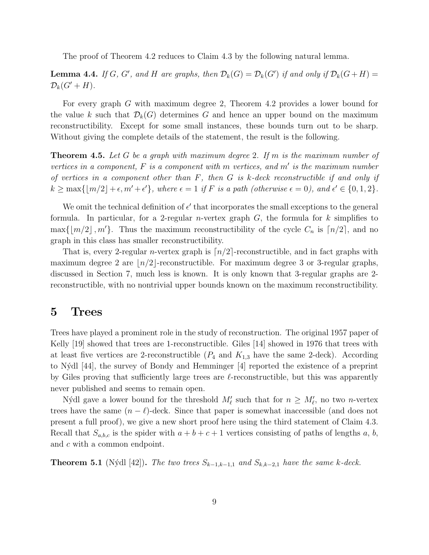The proof of Theorem 4.2 reduces to Claim 4.3 by the following natural lemma.

**Lemma 4.4.** If G, G', and H are graphs, then  $\mathcal{D}_k(G) = \mathcal{D}_k(G')$  if and only if  $\mathcal{D}_k(G+H) =$  $\mathcal{D}_k(G'+H).$ 

For every graph G with maximum degree 2, Theorem 4.2 provides a lower bound for the value k such that  $\mathcal{D}_k(G)$  determines G and hence an upper bound on the maximum reconstructibility. Except for some small instances, these bounds turn out to be sharp. Without giving the complete details of the statement, the result is the following.

**Theorem 4.5.** Let G be a graph with maximum degree 2. If m is the maximum number of vertices in a component,  $F$  is a component with  $m$  vertices, and  $m'$  is the maximum number of vertices in a component other than  $F$ , then  $G$  is k-deck reconstructible if and only if  $k \ge \max\{\lfloor m/2 \rfloor + \epsilon, m' + \epsilon'\},$  where  $\epsilon = 1$  if F is a path (otherwise  $\epsilon = 0$ ), and  $\epsilon' \in \{0, 1, 2\}.$ 

We omit the technical definition of  $\epsilon'$  that incorporates the small exceptions to the general formula. In particular, for a 2-regular *n*-vertex graph  $G$ , the formula for k simplifies to  $\max\{|m/2|, m'\}.$  Thus the maximum reconstructibility of the cycle  $C_n$  is  $\lceil n/2 \rceil$ , and no graph in this class has smaller reconstructibility.

That is, every 2-regular *n*-vertex graph is  $\lceil n/2 \rceil$ -reconstructible, and in fact graphs with maximum degree 2 are  $\lfloor n/2 \rfloor$ -reconstructible. For maximum degree 3 or 3-regular graphs, discussed in Section 7, much less is known. It is only known that 3-regular graphs are 2 reconstructible, with no nontrivial upper bounds known on the maximum reconstructibility.

## 5 Trees

Trees have played a prominent role in the study of reconstruction. The original 1957 paper of Kelly [19] showed that trees are 1-reconstructible. Giles [14] showed in 1976 that trees with at least five vertices are 2-reconstructible  $(P_4$  and  $K_{1,3}$  have the same 2-deck). According to N´ydl [44], the survey of Bondy and Hemminger [4] reported the existence of a preprint by Giles proving that sufficiently large trees are  $\ell$ -reconstructible, but this was apparently never published and seems to remain open.

Nýdl gave a lower bound for the threshold  $M'_{\ell}$  such that for  $n \geq M'_{\ell}$ , no two *n*-vertex trees have the same  $(n - \ell)$ -deck. Since that paper is somewhat inaccessible (and does not present a full proof), we give a new short proof here using the third statement of Claim 4.3. Recall that  $S_{a,b,c}$  is the spider with  $a + b + c + 1$  vertices consisting of paths of lengths a, b, and c with a common endpoint.

**Theorem 5.1** (Nýdl [42]). The two trees  $S_{k-1,k-1,1}$  and  $S_{k,k-2,1}$  have the same k-deck.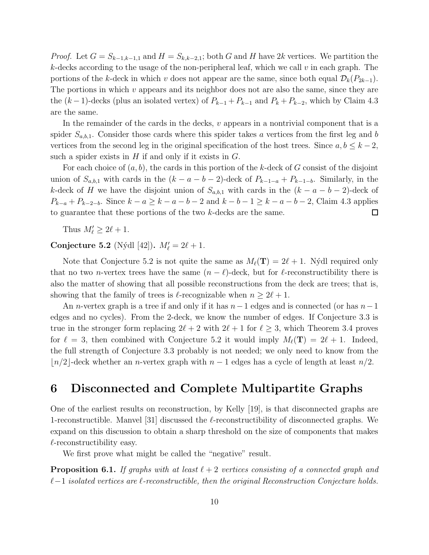*Proof.* Let  $G = S_{k-1,k-1,1}$  and  $H = S_{k,k-2,1}$ ; both G and H have 2k vertices. We partition the k-decks according to the usage of the non-peripheral leaf, which we call  $v$  in each graph. The portions of the k-deck in which v does not appear are the same, since both equal  $\mathcal{D}_k(P_{2k-1})$ . The portions in which  $v$  appears and its neighbor does not are also the same, since they are the  $(k-1)$ -decks (plus an isolated vertex) of  $P_{k-1} + P_{k-1}$  and  $P_k + P_{k-2}$ , which by Claim 4.3 are the same.

In the remainder of the cards in the decks,  $v$  appears in a nontrivial component that is a spider  $S_{a,b,1}$ . Consider those cards where this spider takes a vertices from the first leg and b vertices from the second leg in the original specification of the host trees. Since  $a, b \leq k - 2$ , such a spider exists in  $H$  if and only if it exists in  $G$ .

For each choice of  $(a, b)$ , the cards in this portion of the k-deck of G consist of the disjoint union of  $S_{a,b,1}$  with cards in the  $(k - a - b - 2)$ -deck of  $P_{k-1-a} + P_{k-1-b}$ . Similarly, in the k-deck of H we have the disjoint union of  $S_{a,b,1}$  with cards in the  $(k - a - b - 2)$ -deck of  $P_{k-a} + P_{k-2-b}$ . Since  $k-a \ge k-a-b-2$  and  $k-b-1 \ge k-a-b-2$ , Claim 4.3 applies to guarantee that these portions of the two k-decks are the same.  $\Box$ 

Thus  $M'_\ell \geq 2\ell + 1$ .

Conjecture 5.2 (Nýdl [42]).  $M'_{\ell} = 2\ell + 1$ .

Note that Conjecture 5.2 is not quite the same as  $M_{\ell}(T) = 2\ell + 1$ . Nýdl required only that no two *n*-vertex trees have the same  $(n - \ell)$ -deck, but for  $\ell$ -reconstructibility there is also the matter of showing that all possible reconstructions from the deck are trees; that is, showing that the family of trees is  $\ell$ -recognizable when  $n \geq 2\ell + 1$ .

An n-vertex graph is a tree if and only if it has  $n-1$  edges and is connected (or has  $n-1$ edges and no cycles). From the 2-deck, we know the number of edges. If Conjecture 3.3 is true in the stronger form replacing  $2\ell + 2$  with  $2\ell + 1$  for  $\ell \geq 3$ , which Theorem 3.4 proves for  $\ell = 3$ , then combined with Conjecture 5.2 it would imply  $M_{\ell}(\mathbf{T}) = 2\ell + 1$ . Indeed, the full strength of Conjecture 3.3 probably is not needed; we only need to know from the | $n/2$ |-deck whether an *n*-vertex graph with  $n-1$  edges has a cycle of length at least  $n/2$ .

## 6 Disconnected and Complete Multipartite Graphs

One of the earliest results on reconstruction, by Kelly [19], is that disconnected graphs are 1-reconstructible. Manvel [31] discussed the  $\ell$ -reconstructibility of disconnected graphs. We expand on this discussion to obtain a sharp threshold on the size of components that makes  $\ell$ -reconstructibility easy.

We first prove what might be called the "negative" result.

**Proposition 6.1.** If graphs with at least  $\ell + 2$  vertices consisting of a connected graph and  $\ell-1$  isolated vertices are  $\ell$ -reconstructible, then the original Reconstruction Conjecture holds.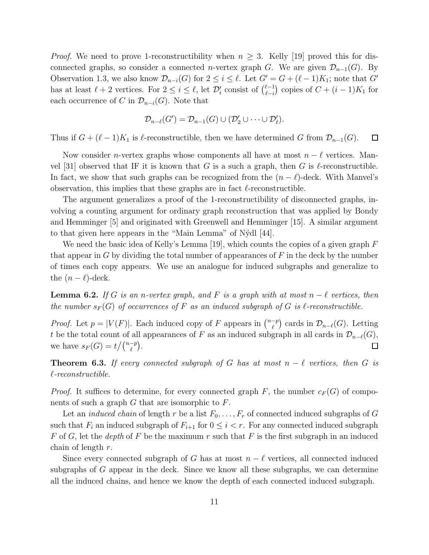*Proof.* We need to prove 1-reconstructibility when  $n \geq 3$ . Kelly [19] proved this for disconnected graphs, so consider a connected *n*-vertex graph G. We are given  $\mathcal{D}_{n-1}(G)$ . By Observation 1.3, we also know  $\mathcal{D}_{n-i}(G)$  for  $2 \leq i \leq \ell$ . Let  $G' = G + (\ell - 1)K_1$ ; note that  $G'$ has at least  $\ell + 2$  vertices. For  $2 \leq i \leq \ell$ , let  $\mathcal{D}'_i$  consist of  $\binom{\ell-1}{\ell-i}$  $\binom{\ell-1}{\ell-i}$  copies of  $C + (i-1)K_1$  for each occurrence of C in  $\mathcal{D}_{n-i}(G)$ . Note that

$$
\mathcal{D}_{n-\ell}(G')=\mathcal{D}_{n-1}(G)\cup(\mathcal{D}'_2\cup\cdots\cup\mathcal{D}'_{\ell}).
$$

Thus if  $G + (\ell - 1)K_1$  is  $\ell$ -reconstructible, then we have determined G from  $\mathcal{D}_{n-1}(G)$ .  $\Box$ 

Now consider *n*-vertex graphs whose components all have at most  $n - \ell$  vertices. Manvel [31] observed that IF it is known that G is a such a graph, then G is  $\ell$ -reconstructible. In fact, we show that such graphs can be recognized from the  $(n - \ell)$ -deck. With Manvel's observation, this implies that these graphs are in fact  $\ell$ -reconstructible.

The argument generalizes a proof of the 1-reconstructibility of disconnected graphs, involving a counting argument for ordinary graph reconstruction that was applied by Bondy and Hemminger [5] and originated with Greenwell and Hemminger [15]. A similar argument to that given here appears in the "Main Lemma" of N´ydl [44].

We need the basic idea of Kelly's Lemma [19], which counts the copies of a given graph  $F$ that appear in  $G$  by dividing the total number of appearances of  $F$  in the deck by the number of times each copy appears. We use an analogue for induced subgraphs and generalize to the  $(n - \ell)$ -deck.

**Lemma 6.2.** If G is an n-vertex graph, and F is a graph with at most  $n - \ell$  vertices, then the number  $s_F(G)$  of occurrences of F as an induced subgraph of G is  $\ell$ -reconstructible.

*Proof.* Let  $p = |V(F)|$ . Each induced copy of F appears in  $\binom{n-p}{\ell}$  $\binom{-p}{\ell}$  cards in  $\mathcal{D}_{n-\ell}(G)$ . Letting t be the total count of all appearances of F as an induced subgraph in all cards in  $\mathcal{D}_{n-\ell}(G)$ , we have  $s_F(G) = t / \binom{n-p}{\ell}$ .  $\Box$ 

**Theorem 6.3.** If every connected subgraph of G has at most  $n - \ell$  vertices, then G is ℓ-reconstructible.

*Proof.* It suffices to determine, for every connected graph F, the number  $c_F(G)$  of components of such a graph  $G$  that are isomorphic to  $F$ .

Let an *induced chain* of length r be a list  $F_0, \ldots, F_r$  of connected induced subgraphs of G such that  $F_i$  an induced subgraph of  $F_{i+1}$  for  $0 \leq i < r$ . For any connected induced subgraph F of G, let the depth of F be the maximum r such that F is the first subgraph in an induced chain of length  $r$ .

Since every connected subgraph of G has at most  $n - \ell$  vertices, all connected induced subgraphs of  $G$  appear in the deck. Since we know all these subgraphs, we can determine all the induced chains, and hence we know the depth of each connected induced subgraph.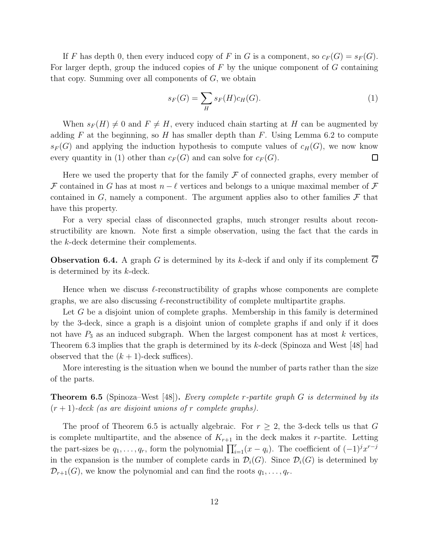If F has depth 0, then every induced copy of F in G is a component, so  $c_F(G) = s_F(G)$ . For larger depth, group the induced copies of  $F$  by the unique component of  $G$  containing that copy. Summing over all components of  $G$ , we obtain

$$
s_F(G) = \sum_H s_F(H)c_H(G). \tag{1}
$$

When  $s_F(H) \neq 0$  and  $F \neq H$ , every induced chain starting at H can be augmented by adding F at the beginning, so H has smaller depth than F. Using Lemma 6.2 to compute  $s_F(G)$  and applying the induction hypothesis to compute values of  $c_H(G)$ , we now know every quantity in (1) other than  $c_F(G)$  and can solve for  $c_F(G)$ .  $\Box$ 

Here we used the property that for the family  $\mathcal F$  of connected graphs, every member of F contained in G has at most  $n - \ell$  vertices and belongs to a unique maximal member of F contained in G, namely a component. The argument applies also to other families  $\mathcal F$  that have this property.

For a very special class of disconnected graphs, much stronger results about reconstructibility are known. Note first a simple observation, using the fact that the cards in the k-deck determine their complements.

**Observation 6.4.** A graph G is determined by its k-deck if and only if its complement  $\overline{G}$ is determined by its k-deck.

Hence when we discuss  $\ell$ -reconstructibility of graphs whose components are complete graphs, we are also discussing  $\ell$ -reconstructibility of complete multipartite graphs.

Let  $G$  be a disjoint union of complete graphs. Membership in this family is determined by the 3-deck, since a graph is a disjoint union of complete graphs if and only if it does not have  $P_3$  as an induced subgraph. When the largest component has at most k vertices, Theorem 6.3 implies that the graph is determined by its k-deck (Spinoza and West [48] had observed that the  $(k + 1)$ -deck suffices).

More interesting is the situation when we bound the number of parts rather than the size of the parts.

**Theorem 6.5** (Spinoza–West [48]). Every complete r-partite graph G is determined by its  $(r+1)$ -deck (as are disjoint unions of r complete graphs).

The proof of Theorem 6.5 is actually algebraic. For  $r \geq 2$ , the 3-deck tells us that G is complete multipartite, and the absence of  $K_{r+1}$  in the deck makes it r-partite. Letting the part-sizes be  $q_1, \ldots, q_r$ , form the polynomial  $\prod_{i=1}^r (x - q_i)$ . The coefficient of  $(-1)^j x^{r-j}$ in the expansion is the number of complete cards in  $\mathcal{D}_i(G)$ . Since  $\mathcal{D}_i(G)$  is determined by  $\mathcal{D}_{r+1}(G)$ , we know the polynomial and can find the roots  $q_1, \ldots, q_r$ .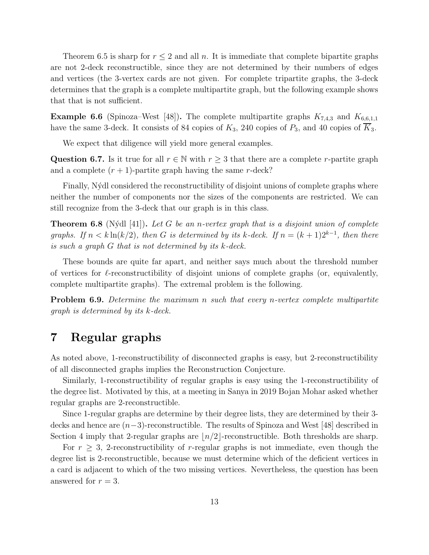Theorem 6.5 is sharp for  $r \leq 2$  and all n. It is immediate that complete bipartite graphs are not 2-deck reconstructible, since they are not determined by their numbers of edges and vertices (the 3-vertex cards are not given. For complete tripartite graphs, the 3-deck determines that the graph is a complete multipartite graph, but the following example shows that that is not sufficient.

**Example 6.6** (Spinoza–West [48]). The complete multipartite graphs  $K_{7,4,3}$  and  $K_{6,6,1,1}$ have the same 3-deck. It consists of 84 copies of  $K_3$ , 240 copies of  $P_3$ , and 40 copies of  $\overline{K}_3$ .

We expect that diligence will yield more general examples.

Question 6.7. Is it true for all  $r \in \mathbb{N}$  with  $r \geq 3$  that there are a complete r-partite graph and a complete  $(r + 1)$ -partite graph having the same r-deck?

Finally, Nýdl considered the reconstructibility of disjoint unions of complete graphs where neither the number of components nor the sizes of the components are restricted. We can still recognize from the 3-deck that our graph is in this class.

**Theorem 6.8** (Nýdl [41]). Let G be an n-vertex graph that is a disjoint union of complete graphs. If  $n < k \ln(k/2)$ , then G is determined by its k-deck. If  $n = (k+1)2^{k-1}$ , then there is such a graph G that is not determined by its k-deck.

These bounds are quite far apart, and neither says much about the threshold number of vertices for  $\ell$ -reconstructibility of disjoint unions of complete graphs (or, equivalently, complete multipartite graphs). The extremal problem is the following.

**Problem 6.9.** Determine the maximum n such that every n-vertex complete multipartite graph is determined by its k-deck.

# 7 Regular graphs

As noted above, 1-reconstructibility of disconnected graphs is easy, but 2-reconstructibility of all disconnected graphs implies the Reconstruction Conjecture.

Similarly, 1-reconstructibility of regular graphs is easy using the 1-reconstructibility of the degree list. Motivated by this, at a meeting in Sanya in 2019 Bojan Mohar asked whether regular graphs are 2-reconstructible.

Since 1-regular graphs are determine by their degree lists, they are determined by their 3 decks and hence are (n−3)-reconstructible. The results of Spinoza and West [48] described in Section 4 imply that 2-regular graphs are  $\lfloor n/2 \rfloor$ -reconstructible. Both thresholds are sharp.

For  $r \geq 3$ , 2-reconstructibility of r-regular graphs is not immediate, even though the degree list is 2-reconstructible, because we must determine which of the deficient vertices in a card is adjacent to which of the two missing vertices. Nevertheless, the question has been answered for  $r = 3$ .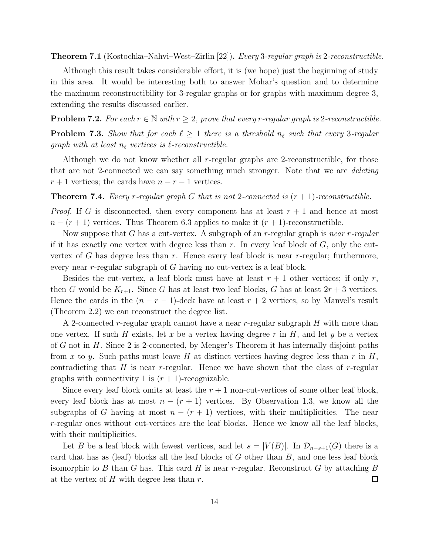Theorem 7.1 (Kostochka–Nahvi–West–Zirlin [22]). Every 3-regular graph is 2-reconstructible.

Although this result takes considerable effort, it is (we hope) just the beginning of study in this area. It would be interesting both to answer Mohar's question and to determine the maximum reconstructibility for 3-regular graphs or for graphs with maximum degree 3, extending the results discussed earlier.

**Problem 7.2.** For each  $r \in \mathbb{N}$  with  $r \geq 2$ , prove that every r-regular graph is 2-reconstructible.

**Problem 7.3.** Show that for each  $\ell \geq 1$  there is a threshold  $n_{\ell}$  such that every 3-regular graph with at least  $n_{\ell}$  vertices is  $\ell$ -reconstructible.

Although we do not know whether all r-regular graphs are 2-reconstructible, for those that are not 2-connected we can say something much stronger. Note that we are *deleting*  $r + 1$  vertices; the cards have  $n - r - 1$  vertices.

**Theorem 7.4.** Every r-regular graph G that is not 2-connected is  $(r + 1)$ -reconstructible.

*Proof.* If G is disconnected, then every component has at least  $r + 1$  and hence at most  $n - (r + 1)$  vertices. Thus Theorem 6.3 applies to make it  $(r + 1)$ -reconstructible.

Now suppose that G has a cut-vertex. A subgraph of an r-regular graph is near r-regular if it has exactly one vertex with degree less than  $r$ . In every leaf block of  $G$ , only the cutvertex of G has degree less than  $r$ . Hence every leaf block is near  $r$ -regular; furthermore, every near r-regular subgraph of G having no cut-vertex is a leaf block.

Besides the cut-vertex, a leaf block must have at least  $r + 1$  other vertices; if only r, then G would be  $K_{r+1}$ . Since G has at least two leaf blocks, G has at least  $2r+3$  vertices. Hence the cards in the  $(n - r - 1)$ -deck have at least  $r + 2$  vertices, so by Manvel's result (Theorem 2.2) we can reconstruct the degree list.

A 2-connected r-regular graph cannot have a near r-regular subgraph  $H$  with more than one vertex. If such H exists, let x be a vertex having degree r in H, and let y be a vertex of G not in H. Since 2 is 2-connected, by Menger's Theorem it has internally disjoint paths from x to y. Such paths must leave H at distinct vertices having degree less than r in H, contradicting that  $H$  is near r-regular. Hence we have shown that the class of r-regular graphs with connectivity 1 is  $(r + 1)$ -recognizable.

Since every leaf block omits at least the  $r + 1$  non-cut-vertices of some other leaf block, every leaf block has at most  $n - (r + 1)$  vertices. By Observation 1.3, we know all the subgraphs of G having at most  $n - (r + 1)$  vertices, with their multiplicities. The near r-regular ones without cut-vertices are the leaf blocks. Hence we know all the leaf blocks, with their multiplicities.

Let B be a leaf block with fewest vertices, and let  $s = |V(B)|$ . In  $\mathcal{D}_{n-s+1}(G)$  there is a card that has as (leaf) blocks all the leaf blocks of  $G$  other than  $B$ , and one less leaf block isomorphic to B than G has. This card H is near r-regular. Reconstruct G by attaching B at the vertex of  $H$  with degree less than  $r$ .  $\Box$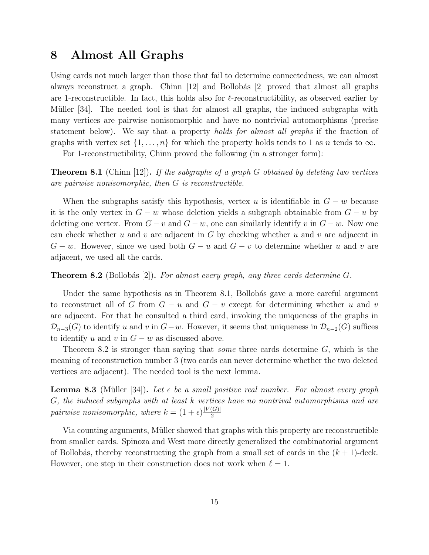## 8 Almost All Graphs

Using cards not much larger than those that fail to determine connectedness, we can almost always reconstruct a graph. Chinn  $|12|$  and Bollobás  $|2|$  proved that almost all graphs are 1-reconstructible. In fact, this holds also for  $\ell$ -reconstructibility, as observed earlier by Müller [34]. The needed tool is that for almost all graphs, the induced subgraphs with many vertices are pairwise nonisomorphic and have no nontrivial automorphisms (precise statement below). We say that a property *holds for almost all graphs* if the fraction of graphs with vertex set  $\{1, \ldots, n\}$  for which the property holds tends to 1 as n tends to  $\infty$ .

For 1-reconstructibility, Chinn proved the following (in a stronger form):

**Theorem 8.1** (Chinn [12]). If the subgraphs of a graph G obtained by deleting two vertices are pairwise nonisomorphic, then G is reconstructible.

When the subgraphs satisfy this hypothesis, vertex u is identifiable in  $G - w$  because it is the only vertex in  $G - w$  whose deletion yields a subgraph obtainable from  $G - u$  by deleting one vertex. From  $G - v$  and  $G - w$ , one can similarly identify v in  $G - w$ . Now one can check whether u and v are adjacent in  $G$  by checking whether u and v are adjacent in  $G - w$ . However, since we used both  $G - u$  and  $G - v$  to determine whether u and v are adjacent, we used all the cards.

## **Theorem 8.2** (Bollobás [2]). For almost every graph, any three cards determine  $G$ .

Under the same hypothesis as in Theorem 8.1, Bollobás gave a more careful argument to reconstruct all of G from  $G - u$  and  $G - v$  except for determining whether u and v are adjacent. For that he consulted a third card, invoking the uniqueness of the graphs in  $\mathcal{D}_{n-3}(G)$  to identify u and v in  $G-w$ . However, it seems that uniqueness in  $\mathcal{D}_{n-2}(G)$  suffices to identify u and v in  $G - w$  as discussed above.

Theorem 8.2 is stronger than saying that *some* three cards determine  $G$ , which is the meaning of reconstruction number 3 (two cards can never determine whether the two deleted vertices are adjacent). The needed tool is the next lemma.

**Lemma 8.3** (Müller [34]). Let  $\epsilon$  be a small positive real number. For almost every graph G, the induced subgraphs with at least k vertices have no nontrival automorphisms and are pairwise nonisomorphic, where  $k = (1 + \epsilon) \frac{|V(G)|}{2}$ 2

Via counting arguments, Müller showed that graphs with this property are reconstructible from smaller cards. Spinoza and West more directly generalized the combinatorial argument of Bollobás, thereby reconstructing the graph from a small set of cards in the  $(k + 1)$ -deck. However, one step in their construction does not work when  $\ell = 1$ .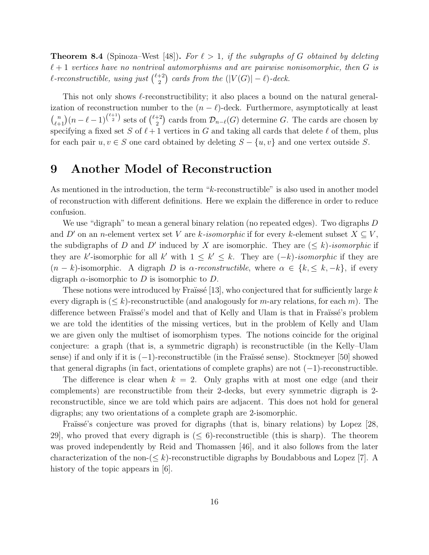**Theorem 8.4** (Spinoza–West [48]). For  $\ell > 1$ , if the subgraphs of G obtained by deleting  $\ell+1$  vertices have no nontrival automorphisms and are pairwise nonisomorphic, then G is  $\ell$ -reconstructible, using just  $\binom{\ell+2}{2}$  $\binom{+2}{2}$  cards from the  $(|V(G)| - \ell)$ -deck.

This not only shows  $\ell$ -reconstructibility; it also places a bound on the natural generalization of reconstruction number to the  $(n - \ell)$ -deck. Furthermore, asymptotically at least  $\binom{n}{\ell+1}(n-\ell-1)^{\binom{\ell+1}{2}}$  sets of  $\binom{\ell+2}{2}$  $\mathcal{D}_{2}^{+2}$  cards from  $\mathcal{D}_{n-\ell}(G)$  determine G. The cards are chosen by specifying a fixed set S of  $\ell+1$  vertices in G and taking all cards that delete  $\ell$  of them, plus for each pair  $u, v \in S$  one card obtained by deleting  $S - \{u, v\}$  and one vertex outside S.

## 9 Another Model of Reconstruction

As mentioned in the introduction, the term "k-reconstructible" is also used in another model of reconstruction with different definitions. Here we explain the difference in order to reduce confusion.

We use "digraph" to mean a general binary relation (no repeated edges). Two digraphs  $D$ and D' on an n-element vertex set V are k-isomorphic if for every k-element subset  $X \subseteq V$ , the subdigraphs of D and D' induced by X are isomorphic. They are  $(\leq k)$ -isomorphic if they are k'-isomorphic for all k' with  $1 \leq k' \leq k$ . They are  $(-k)$ -isomorphic if they are  $(n - k)$ -isomorphic. A digraph D is  $\alpha$ -reconstructible, where  $\alpha \in \{k, \leq k, -k\}$ , if every digraph  $\alpha$ -isomorphic to D is isomorphic to D.

These notions were introduced by Fraïssé [13], who conjectured that for sufficiently large k every digraph is  $(\leq k)$ -reconstructible (and analogously for m-ary relations, for each m). The difference between Fraüssé's model and that of Kelly and Ulam is that in Fraüssé's problem we are told the identities of the missing vertices, but in the problem of Kelly and Ulam we are given only the multiset of isomorphism types. The notions coincide for the original conjecture: a graph (that is, a symmetric digraph) is reconstructible (in the Kelly–Ulam sense) if and only if it is  $(-1)$ -reconstructible (in the Fraïssé sense). Stockmeyer [50] showed that general digraphs (in fact, orientations of complete graphs) are not  $(-1)$ -reconstructible.

The difference is clear when  $k = 2$ . Only graphs with at most one edge (and their complements) are reconstructible from their 2-decks, but every symmetric digraph is 2 reconstructible, since we are told which pairs are adjacent. This does not hold for general digraphs; any two orientations of a complete graph are 2-isomorphic.

Fraïssé's conjecture was proved for digraphs (that is, binary relations) by Lopez [28, 29], who proved that every digraph is  $(\leq 6)$ -reconstructible (this is sharp). The theorem was proved independently by Reid and Thomassen [46], and it also follows from the later characterization of the non- $(\leq k)$ -reconstructible digraphs by Boudabbous and Lopez [7]. A history of the topic appears in [6].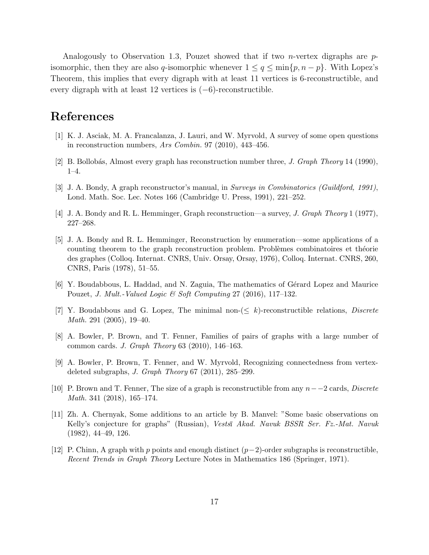Analogously to Observation 1.3, Pouzet showed that if two *n*-vertex digraphs are  $p$ isomorphic, then they are also q-isomorphic whenever  $1 \le q \le \min\{p, n - p\}$ . With Lopez's Theorem, this implies that every digraph with at least 11 vertices is 6-reconstructible, and every digraph with at least 12 vertices is (−6)-reconstructible.

# References

- [1] K. J. Asciak, M. A. Francalanza, J. Lauri, and W. Myrvold, A survey of some open questions in reconstruction numbers, Ars Combin. 97 (2010), 443–456.
- [2] B. Bollobás, Almost every graph has reconstruction number three, *J. Graph Theory* 14 (1990), 1–4.
- [3] J. A. Bondy, A graph reconstructor's manual, in Surveys in Combinatorics (Guildford, 1991), Lond. Math. Soc. Lec. Notes 166 (Cambridge U. Press, 1991), 221–252.
- [4] J. A. Bondy and R. L. Hemminger, Graph reconstruction—a survey, J. Graph Theory 1 (1977), 227–268.
- [5] J. A. Bondy and R. L. Hemminger, Reconstruction by enumeration—some applications of a counting theorem to the graph reconstruction problem. Problèmes combinatoires et théorie des graphes (Colloq. Internat. CNRS, Univ. Orsay, Orsay, 1976), Colloq. Internat. CNRS, 260, CNRS, Paris (1978), 51–55.
- [6] Y. Boudabbous, L. Haddad, and N. Zaguia, The mathematics of Gérard Lopez and Maurice Pouzet, J. Mult.-Valued Logic & Soft Computing 27 (2016), 117–132.
- [7] Y. Boudabbous and G. Lopez, The minimal non- $\leq k$ )-reconstructible relations, *Discrete* Math. 291 (2005), 19–40.
- [8] A. Bowler, P. Brown, and T. Fenner, Families of pairs of graphs with a large number of common cards. J. Graph Theory 63 (2010), 146–163.
- [9] A. Bowler, P. Brown, T. Fenner, and W. Myrvold, Recognizing connectedness from vertexdeleted subgraphs, J. Graph Theory 67 (2011), 285–299.
- [10] P. Brown and T. Fenner, The size of a graph is reconstructible from any  $n-2$  cards, Discrete Math. 341 (2018), 165–174.
- [11] Zh. A. Chernyak, Some additions to an article by B. Manvel: "Some basic observations on Kelly's conjecture for graphs" (Russian), Vestsı Akad. Navuk BSSR Ser. Fz.-Mat. Navuk (1982), 44–49, 126.
- [12] P. Chinn, A graph with p points and enough distinct  $(p-2)$ -order subgraphs is reconstructible, Recent Trends in Graph Theory Lecture Notes in Mathematics 186 (Springer, 1971).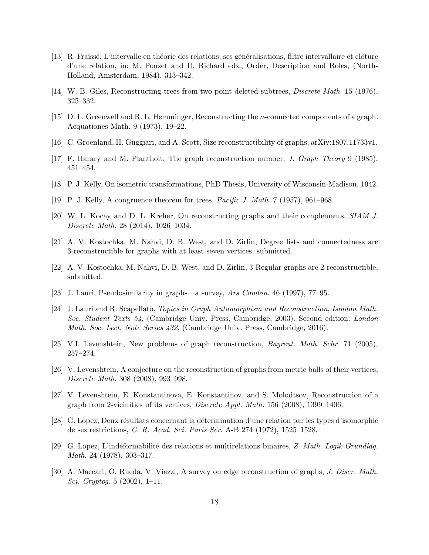- [13] R. Fraüssé, L'intervalle en théorie des relations, ses généralisations, filtre intervallaire et clôture d'une relation, in: M. Pouzet and D. Richard eds., Order, Description and Roles, (North-Holland, Amsterdam, 1984), 313–342.
- [14] W. B. Giles, Reconstructing trees from two-point deleted subtrees, Discrete Math. 15 (1976), 325–332.
- [15] D. L. Greenwell and R. L. Hemminger, Reconstructing the n-connected components of a graph. Aequationes Math. 9 (1973), 19–22.
- [16] C. Groenland, H. Guggiari, and A. Scott, Size reconstructibility of graphs, arXiv:1807.11733v1.
- [17] F. Harary and M. Plantholt, The graph reconstruction number, J. Graph Theory 9 (1985), 451–454.
- [18] P. J. Kelly, On isometric transformations, PhD Thesis, University of Wisconsin-Madison, 1942.
- [19] P. J. Kelly, A congruence theorem for trees, Pacific J. Math. 7 (1957), 961–968.
- [20] W. L. Kocay and D. L. Kreher, On reconstructing graphs and their complements, SIAM J. Discrete Math. 28 (2014), 1026–1034.
- [21] A. V. Kostochka, M. Nahvi, D. B. West, and D. Zirlin, Degree lists and connectedness are 3-reconstructible for graphs with at least seven vertices, submitted.
- [22] A. V. Kostochka, M. Nahvi, D. B. West, and D. Zirlin, 3-Regular graphs are 2-reconstructible, submitted.
- [23] J. Lauri, Pseudosimilarity in graphs—a survey, Ars Combin. 46 (1997), 77–95.
- [24] J. Lauri and R. Scapellato, Topics in Graph Automorphism and Reconstruction, London Math. Soc. Student Texts 54, (Cambridge Univ. Press, Cambridge, 2003). Second edition: London Math. Soc. Lect. Note Series 432, (Cambridge Univ. Press, Cambridge, 2016).
- [25] V.I. Levenshtein, New problems of graph reconstruction, Bayreut. Math. Schr. 71 (2005), 257–274.
- [26] V. Levenshtein, A conjecture on the reconstruction of graphs from metric balls of their vertices, Discrete Math. 308 (2008), 993–998.
- [27] V. Levenshtein, E. Konstantinova, E. Konstantinov, and S. Molodtsov, Reconstruction of a graph from 2-vicinities of its vertices, Discrete Appl. Math. 156 (2008), 1399–1406.
- [28] G. Lopez, Deux résultats concernant la détermination d'une relation par les types d'isomorphie de ses restrictions, C. R. Acad. Sci. Paris Sér. A-B 274 (1972), 1525–1528.
- [29] G. Lopez, L'indéformabilité des relations et multirelations binaires, Z. Math. Logik Grundlag. Math. 24 (1978), 303–317.
- [30] A. Maccari, O. Rueda, V. Viazzi, A survey on edge reconstruction of graphs, J. Discr. Math. Sci. Cryptog. 5 (2002), 1–11.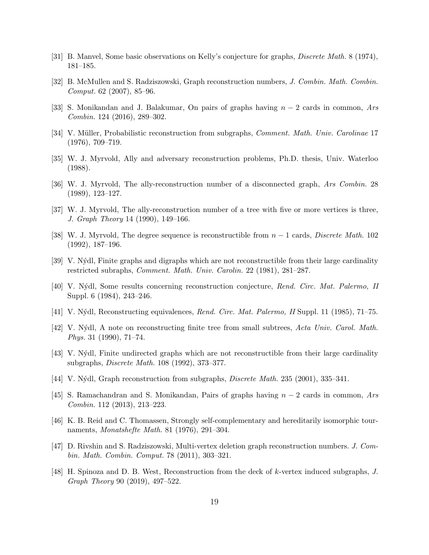- [31] B. Manvel, Some basic observations on Kelly's conjecture for graphs, Discrete Math. 8 (1974), 181–185.
- [32] B. McMullen and S. Radziszowski, Graph reconstruction numbers, J. Combin. Math. Combin. Comput. 62 (2007), 85–96.
- [33] S. Monikandan and J. Balakumar, On pairs of graphs having  $n-2$  cards in common, Ars Combin. 124 (2016), 289–302.
- [34] V. Müller, Probabilistic reconstruction from subgraphs, *Comment. Math. Univ. Carolinae* 17 (1976), 709–719.
- [35] W. J. Myrvold, Ally and adversary reconstruction problems, Ph.D. thesis, Univ. Waterloo (1988).
- [36] W. J. Myrvold, The ally-reconstruction number of a disconnected graph, Ars Combin. 28 (1989), 123–127.
- [37] W. J. Myrvold, The ally-reconstruction number of a tree with five or more vertices is three, J. Graph Theory 14 (1990), 149–166.
- [38] W. J. Myrvold, The degree sequence is reconstructible from  $n-1$  cards, *Discrete Math.* 102 (1992), 187–196.
- [39] V. N´ydl, Finite graphs and digraphs which are not reconstructible from their large cardinality restricted subraphs, Comment. Math. Univ. Carolin. 22 (1981), 281–287.
- [40] V. N´ydl, Some results concerning reconstruction conjecture, Rend. Circ. Mat. Palermo, II Suppl. 6 (1984), 243–246.
- [41] V. N´ydl, Reconstructing equivalences, Rend. Circ. Mat. Palermo, II Suppl. 11 (1985), 71–75.
- [42] V. Nýdl, A note on reconstructing finite tree from small subtrees, Acta Univ. Carol. Math. Phys. 31 (1990), 71–74.
- [43] V. N´ydl, Finite undirected graphs which are not reconstructible from their large cardinality subgraphs, Discrete Math. 108 (1992), 373–377.
- [44] V. Nýdl, Graph reconstruction from subgraphs, *Discrete Math.* 235 (2001), 335–341.
- [45] S. Ramachandran and S. Monikandan, Pairs of graphs having  $n-2$  cards in common, Ars Combin. 112 (2013), 213–223.
- [46] K. B. Reid and C. Thomassen, Strongly self-complementary and hereditarily isomorphic tournaments, Monatshefte Math. 81 (1976), 291–304.
- [47] D. Rivshin and S. Radziszowski, Multi-vertex deletion graph reconstruction numbers. J. Combin. Math. Combin. Comput. 78 (2011), 303–321.
- [48] H. Spinoza and D. B. West, Reconstruction from the deck of k-vertex induced subgraphs, J. Graph Theory 90 (2019), 497–522.